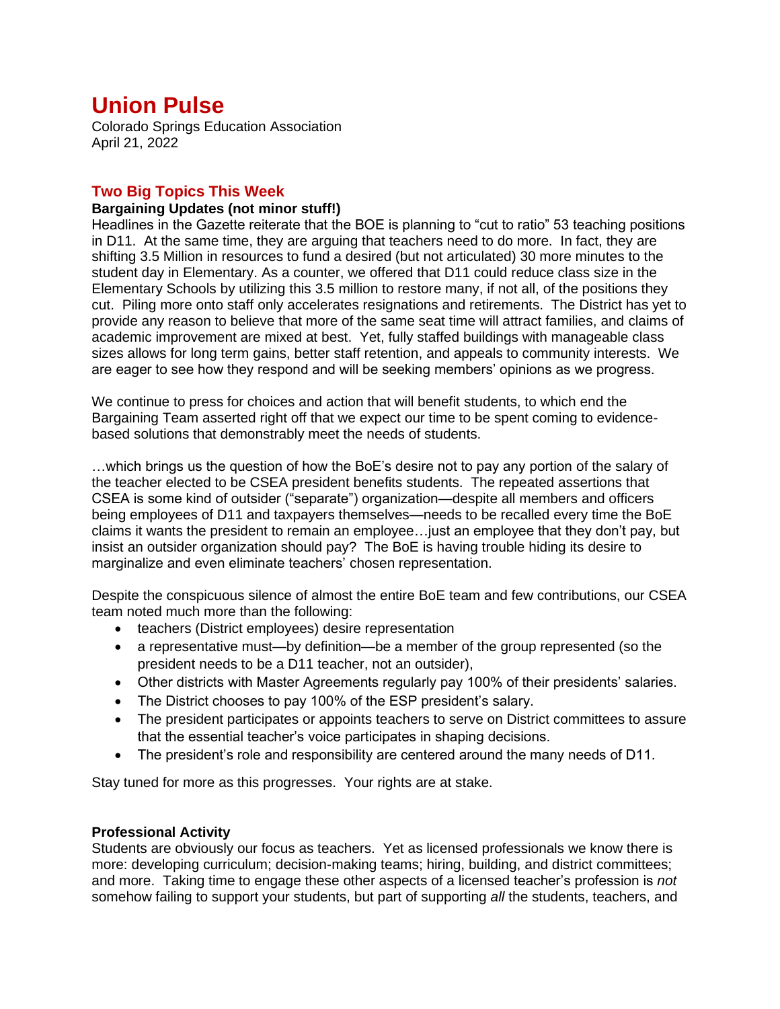# **Union Pulse**

Colorado Springs Education Association April 21, 2022

# **Two Big Topics This Week**

## **Bargaining Updates (not minor stuff!)**

Headlines in the Gazette reiterate that the BOE is planning to "cut to ratio" 53 teaching positions in D11. At the same time, they are arguing that teachers need to do more. In fact, they are shifting 3.5 Million in resources to fund a desired (but not articulated) 30 more minutes to the student day in Elementary. As a counter, we offered that D11 could reduce class size in the Elementary Schools by utilizing this 3.5 million to restore many, if not all, of the positions they cut. Piling more onto staff only accelerates resignations and retirements. The District has yet to provide any reason to believe that more of the same seat time will attract families, and claims of academic improvement are mixed at best. Yet, fully staffed buildings with manageable class sizes allows for long term gains, better staff retention, and appeals to community interests. We are eager to see how they respond and will be seeking members' opinions as we progress.

We continue to press for choices and action that will benefit students, to which end the Bargaining Team asserted right off that we expect our time to be spent coming to evidencebased solutions that demonstrably meet the needs of students.

…which brings us the question of how the BoE's desire not to pay any portion of the salary of the teacher elected to be CSEA president benefits students. The repeated assertions that CSEA is some kind of outsider ("separate") organization—despite all members and officers being employees of D11 and taxpayers themselves—needs to be recalled every time the BoE claims it wants the president to remain an employee…just an employee that they don't pay, but insist an outsider organization should pay? The BoE is having trouble hiding its desire to marginalize and even eliminate teachers' chosen representation.

Despite the conspicuous silence of almost the entire BoE team and few contributions, our CSEA team noted much more than the following:

- teachers (District employees) desire representation
- a representative must—by definition—be a member of the group represented (so the president needs to be a D11 teacher, not an outsider),
- Other districts with Master Agreements regularly pay 100% of their presidents' salaries.
- The District chooses to pay 100% of the ESP president's salary.
- The president participates or appoints teachers to serve on District committees to assure that the essential teacher's voice participates in shaping decisions.
- The president's role and responsibility are centered around the many needs of D11.

Stay tuned for more as this progresses. Your rights are at stake.

## **Professional Activity**

Students are obviously our focus as teachers. Yet as licensed professionals we know there is more: developing curriculum; decision-making teams; hiring, building, and district committees; and more. Taking time to engage these other aspects of a licensed teacher's profession is *not* somehow failing to support your students, but part of supporting *all* the students, teachers, and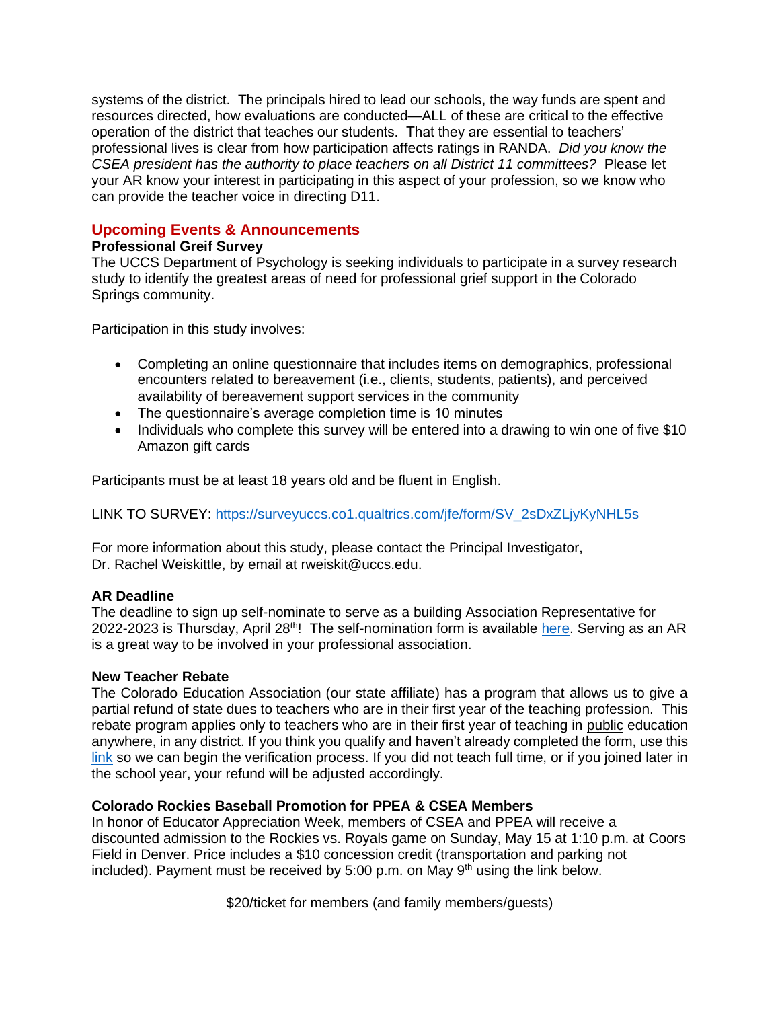systems of the district. The principals hired to lead our schools, the way funds are spent and resources directed, how evaluations are conducted—ALL of these are critical to the effective operation of the district that teaches our students. That they are essential to teachers' professional lives is clear from how participation affects ratings in RANDA. *Did you know the CSEA president has the authority to place teachers on all District 11 committees?* Please let your AR know your interest in participating in this aspect of your profession, so we know who can provide the teacher voice in directing D11.

# **Upcoming Events & Announcements**

#### **Professional Greif Survey**

The UCCS Department of Psychology is seeking individuals to participate in a survey research study to identify the greatest areas of need for professional grief support in the Colorado Springs community.

Participation in this study involves:

- Completing an online questionnaire that includes items on demographics, professional encounters related to bereavement (i.e., clients, students, patients), and perceived availability of bereavement support services in the community
- The questionnaire's average completion time is 10 minutes
- Individuals who complete this survey will be entered into a drawing to win one of five \$10 Amazon gift cards

Participants must be at least 18 years old and be fluent in English.

LINK TO SURVEY: [https://surveyuccs.co1.qualtrics.com/jfe/form/SV\\_2sDxZLjyKyNHL5s](https://surveyuccs.co1.qualtrics.com/jfe/form/SV_2sDxZLjyKyNHL5s)

For more information about this study, please contact the Principal Investigator, Dr. Rachel Weiskittle, by email at rweiskit@uccs.edu.

## **AR Deadline**

The deadline to sign up self-nominate to serve as a building Association Representative for 2022-2023 is Thursday, April 28<sup>th</sup>! The self-nomination form is available [here.](https://forms.gle/mxFiZue3zm1oyJcL8) Serving as an AR is a great way to be involved in your professional association.

#### **New Teacher Rebate**

The Colorado Education Association (our state affiliate) has a program that allows us to give a partial refund of state dues to teachers who are in their first year of the teaching profession. This rebate program applies only to teachers who are in their first year of teaching in public education anywhere, in any district. If you think you qualify and haven't already completed the form, use this [link](https://forms.gle/GSRjJTbenD5YHJzN9) so we can begin the verification process. If you did not teach full time, or if you joined later in the school year, your refund will be adjusted accordingly.

# **Colorado Rockies Baseball Promotion for PPEA & CSEA Members**

In honor of Educator Appreciation Week, members of CSEA and PPEA will receive a discounted admission to the Rockies vs. Royals game on Sunday, May 15 at 1:10 p.m. at Coors Field in Denver. Price includes a \$10 concession credit (transportation and parking not included). Payment must be received by 5:00 p.m. on May  $9<sup>th</sup>$  using the link below.

\$20/ticket for members (and family members/guests)